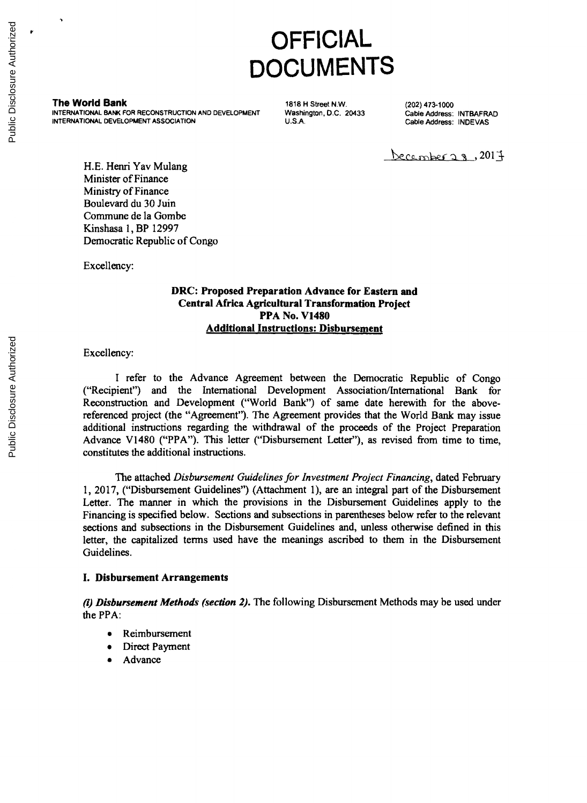# **OFFICIAL DOCUMENTS**

**The World Bank** (202) 473-1000<br>
INTERNATIONAL BANK FOR RECONSTRUCTION AND DEVELOPMENT Washington, D.C. 20433 Cable Address: INTBAFRAD<br>
INTERNATIONAL DEVELOPMENT ASSOCIATION U.S.A. U.S.A. Cable Address: INDEVAS

December  $2.3$ , 2017

**H.E.** Henri Yav Mulang Minister of Finance Ministry of Finance Boulevard du **30** Juin Commune de la Gombe Kinshasa **1,** BP **12997** Democratic Republic of Congo

Excellency:

# **DRC: Proposed Preparation Advance for Eastern and Central Africa Agricultural Transformation Project PPA No. V1480 Additional Instructions: Disbursement**

Excellency:

I refer to the Advance Agreement between the Democratic Republic of Congo ("Recipient") and the International Development Association/International Bank for Reconstruction and Development ("World Bank") of same date herewi

The attached *Disbursement Guidelines for Investment Project Financing*, dated February 1, 2017, ("Disbursement Guidelines") (Attachment 1), are an integral part of the Disbursement Letter. The manner in which the provisions in the Disbursement Guidelines apply to the Financing is specified below. Sections and subsections in parentheses below refer to the relevant sections and subsections in the Disbursement Guidelines and, unless otherwise defined in this letter, the capitalized terms used have the meanings ascribed to them in the Disbursement Guidelines.

# **I. Disbursement Arrangements**

*(i)* **Disbursement Methods** *(section 2).* The following Disbursement Methods may be used under the PPA:

- Reimbursement
- Direct Payment
- Advance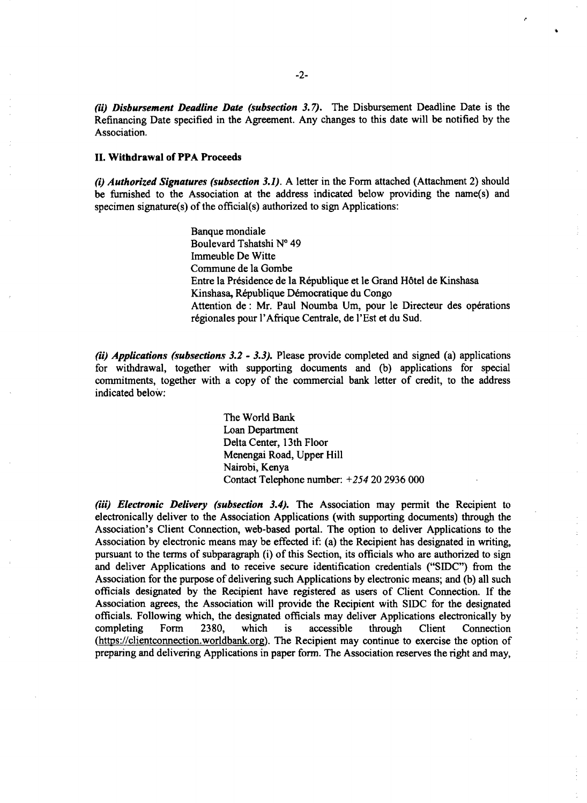*(ii) Disbursement Deadline Date (subsection 3.7).* The Disbursement Deadline Date is the Refinancing Date specified in the Agreement. Any changes to this date will be notified **by** the Association.

#### **II.** Withdrawal of PPA Proceeds

*(i) Authorized Signatures (subsection 3.1).* A letter in the Form attached (Attachment 2) should be furnished to the Association at the address indicated below providing the name(s) and specimen signature(s) of the official(s) authorized to sign Applications:

> Banque mondiale Boulevard Tshatshi **No** 49 Immeuble De Witte Commune de la Gombe Entre la Présidence de la République et le Grand Hôtel de Kinshasa Kinshasa, République Démocratique du Congo Attention de : Mr. Paul Noumba Um, pour le Directeur des opérations régionales pour l'Afrique Centrale, de l'Est et du Sud.

*(ii) Applications (subsections 3.2* **-** *3.3).* Please provide completed and signed (a) applications for withdrawal, together with supporting documents and **(b)** applications for special commitments, together with a copy of the commercial bank letter of credit, to the address indicated below:

> The World Bank Loan Department Delta Center, 13th Floor Menengai Road, Upper Hill Nairobi, Kenya Contact Telephone number: +254 20 **2936 000**

*(ii) Electronic Delivery (subsection 3.4).* The Association may permit the Recipient to electronically deliver to the Association Applications (with supporting documents) through the Association's Client Connection, web-based portal. The option to deliver Applications to the Association **by** electronic means may be effected if: (a) the Recipient has designated in writing, pursuant to the terms of subparagraph (i) of this Section, its officials who are authorized to sign and deliver Applications and to receive secure identification credentials ("SIDC") from the Association for the purpose of delivering such Applications **by** electronic means; and **(b)** all such officials designated **by** the Recipient have registered as users of Client Connection. **If** the Association agrees, the Association will provide the Recipient with **SIDC** for the designated officials. Following which, the designated officials may deliver Applications electronically **by** completing Form **2380,** which is accessible through Client Connection (https://clientconnection.worldbank.org). The Recipient may continue to exercise the option of preparing and delivering Applications in paper form. The Association reserves the right and may,

 $\frac{1}{2}$ ÷.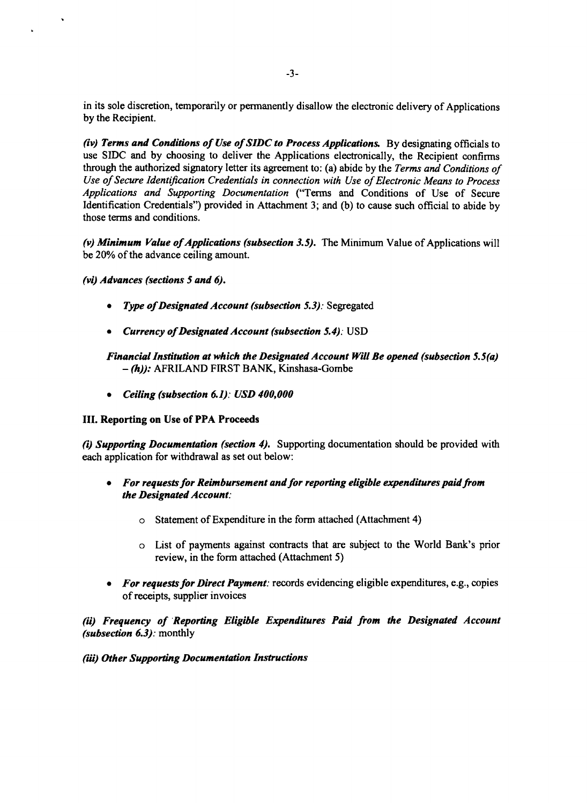in its sole discretion, temporarily or permanently disallow the electronic delivery of Applications **by** the Recipient.

*(iv) Terms and Conditions of Use of SIDC to Process Applications.* **By** designating officials to use SIDC and by choosing to deliver the Applications electronically, the Recipient confirms<br>through the authorized signatory letter its agreement to: (a) abide by the Terms and Conditions of<br>Use of Secure Identification Cr

(v) Minimum Value of Applications (subsection 3.5). The Minimum Value of Applications will be 20% of the advance ceiling amount.

## *(vi) Advances (sections 5 and 6).*

- *Type of Designated Account (subsection 5.3): Segregated*
- *\* Currency of Designated Account (subsection 5.4):* **USD**

# *Financial Institution at which the Designated Account Will Be opened (subsection 5.5(a)* **-** *(h)):* AFRILAND FIRST BANK, Kinshasa-Gombe

*\* Ceiling (subsection 6.1): USD 400,000*

# **III. Reporting on Use of PPA Proceeds**

*(i) Supporting Documentation (section 4).* Supporting documentation should be provided with each application for withdrawal as set out below:

- *\* For requests for Reimbursement and for reporting eligible expenditures paid from the Designated Account:*
	- o Statement of Expenditure in the form attached (Attachment 4)
	- o List of payments against contracts that are subject to the World Bank's prior review, in the form attached (Attachment *5)*
- *\* For requests for Direct Payment:* records evidencing eligible expenditures, e.g., copies of receipts, supplier invoices

*(ii) Frequency of Reporting Eligible Expenditures Paid from the Designated Account (subsection 6.3):* monthly

*(iii) Other Supporting Documentation Instructions*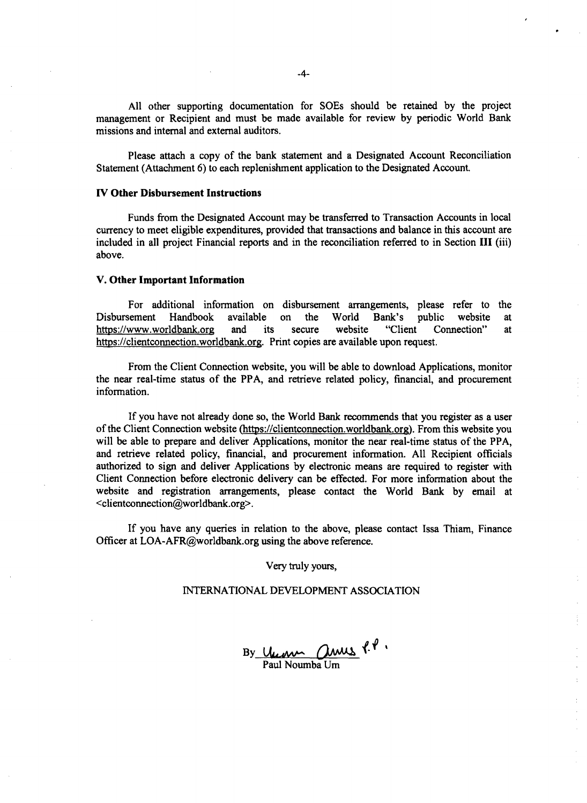**All** other supporting documentation for SOEs should be retained **by** the project management or Recipient and must be made available for review **by** periodic World Bank missions and internal and external auditors.

Please attach a copy of the bank statement and a Designated Account Reconciliation Statement (Attachment **6)** to each replenishment application to the Designated Account.

#### **IV Other Disbursement Instructions**

Funds from the Designated Account may be transferred to Transaction Accounts in local currency to meet eligible expenditures, provided that transactions and balance in this account are included in all project Financial reports and in the reconciliation referred to in Section **III (iii)** above.

#### **V. Other Important Information**

For additional information on disbursement arrangements, please refer to the sement Handbook available on the World Bank's public website at Disbursement Handbook available on the World Bank's public website at https://www.worldbank.org and its secure website "Client Connection" at https://www.worldbank.org https://clientconnection.worldbank.org. Print copies are available upon request.

From the Client Connection website, you will be able to download Applications, monitor the near real-time status of the PPA, and retrieve related policy, financial, and procurement information.

**If** you have not already done so, the World Bank recommends that you register as a user of the Client Connection website (https://clientconnection.worldbank.org). From this website you will be able to prepare and deliver Applications, monitor the near real-time status of the PPA, and retrieve related policy, financial, and procurement information. **All** Recipient officials authorized to sign and deliver Applications **by** electronic means are required to register with Client Connection before electronic delivery can be effected. For more information about the website and registration arrangements, please contact the World Bank **by** email at <clientconnection@worldbank.org>.

**If** you have any queries in relation to the above, please contact Issa Thiam, Finance Officer at LOA-AFR@worldbank.org using the above reference.

Very truly yours,

#### **INTERNATIONAL DEVELOPMENT ASSOCIATION**

**By** Paul Noumba Um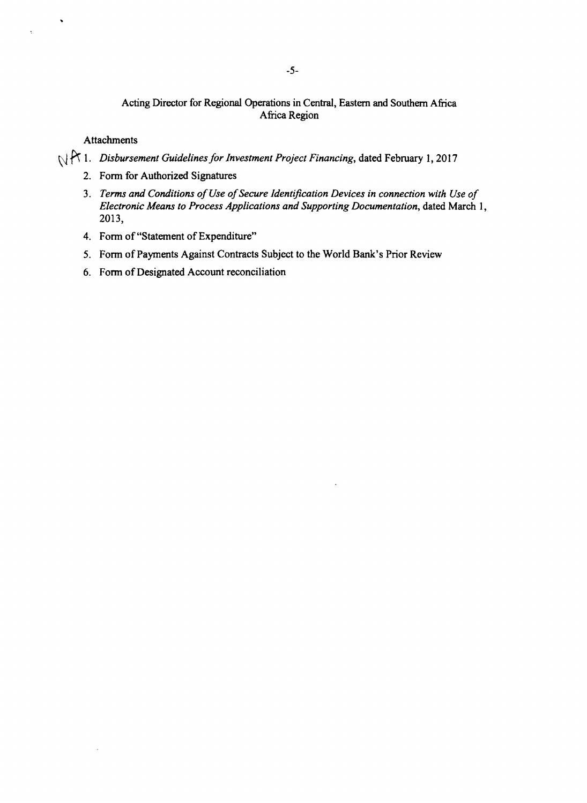# Acting Director for Regional Operations in Central, Eastern and Southern Africa Africa Region

Attachments

 $\ddot{\phantom{0}}$ 

- **1.** *Disbursement Guidelines for Investment Project Financing,* dated February **1, 2017**
	- 2. Form for Authorized Signatures
	- **3.** *Terms and Conditions of Use of Secure Identification Devices in connection with Use of**Electronic Means to Process Applications and Supporting Documentation, dated March 1,* **<b>2013**,
	- 4. Form of "Statement of Expenditure"
	- *5.* Form of Payments Against Contracts Subject to the World Bank's Prior Review
	- **6.** Form of Designated Account reconciliation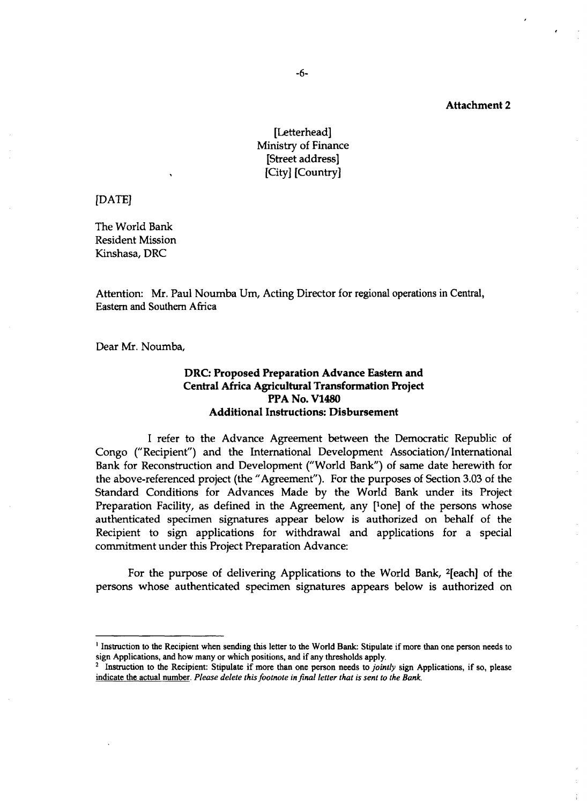# [Letterhead] Ministry of Finance [Street address] [City] [Country]

**[DATE]**

The World Bank Resident Mission Kinshasa, DRC

Attention: Mr. Paul Noumba Um, Acting Director for regional operations in Central, Eastern and Southern Africa

Dear Mr. Noumba,

# DRC: Proposed Preparation Advance Eastern and Central Africa Agricultural Transformation Project PPA No. V1480 Additional Instructions: Disbursement

**<sup>I</sup>**refer to the Advance Agreement between the Democratic Republic of Congo ("Recipient") and the International Development Association/International Bank for Reconstruction and Development ("World Bank") of same date herewith for the above-referenced project (the "Agreement"). For the purposes of Section **3.03** of the Standard Conditions for Advances Made **by** the World Bank under its Project Preparation Facility, as defined in the Agreement, any [<sup>1</sup>one] of the persons whose authenticated specimen signatures appear below is authorized on behalf of the Recipient to sign applications for withdrawal and applications for a special commitment under this Project Preparation Advance:

For the purpose of delivering Applications to the World Bank, 2[each] of the persons whose authenticated specimen signatures appears below is authorized on

<sup>&#</sup>x27;Instruction to the Recipient when sending this letter to the World Bank: Stipulate *if* more than one person needs to sign Applications, and how many or which positions, and if any thresholds apply.

<sup>&</sup>lt;sup>2</sup> Instruction to the Recipient: Stipulate if more than one person needs to *jointly* sign Applications, if so, please indicate the actual number. *Please delete this footnote in final letter that is sent to the Bank.*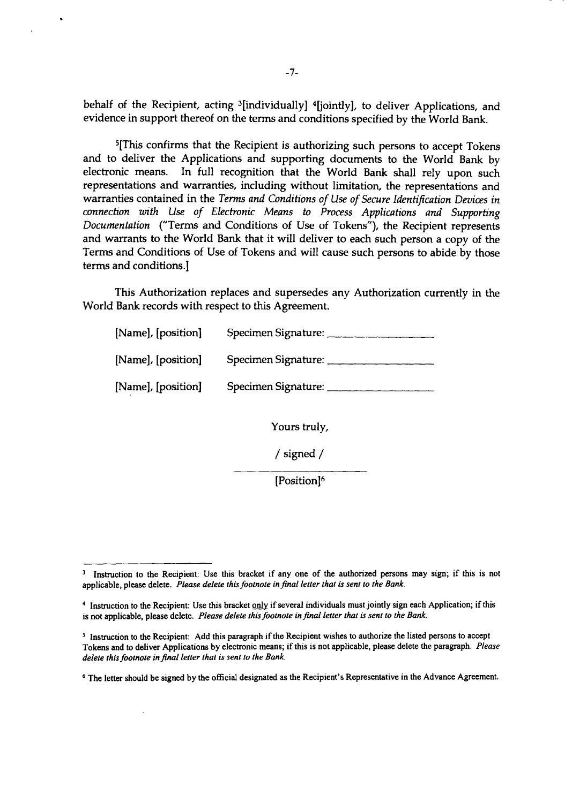behalf of the Recipient, acting <sup>3</sup>[individually] <sup>4</sup>[jointly], to deliver Applications, and evidence in support thereof on the terms and conditions specified by the World Bank.

<sup>5</sup>[This confirms that the Recipient is authorizing such persons to accept Tokens and to deliver the Applications and supporting documents to the World Bank by electronic means. In full recognition that the World Bank sha

World Bank records with respect to this Agreement. This Authorization replaces and supersedes any Authorization currently in the

| [Name], [position] | Specimen Signature: |
|--------------------|---------------------|
| [Name], [position] | Specimen Signature: |
| [Name], [position] | Specimen Signature: |

Yours truly,

**/** signed

[Position]<sup>6</sup>

**<sup>3</sup>**Instruction to the Recipient: Use this bracket if any one of the authorized persons may sign; if this is not applicable, please delete. *Please delete this footnote in final letter that is sent to the Bank.*

<sup>&</sup>lt;sup>4</sup> Instruction to the Recipient: Use this bracket only if several individuals must jointly sign each Application; if this is not application; if this is not applicable, please delete. *Please delete this footnote in final* 

<sup>&</sup>lt;sup>5</sup> Instruction to the Recipient: Add this paragraph if the Recipient wishes to authorize the listed persons to accept Tokens and to deliver Applications by electronic means; if this is not applicable, please delete the p

**<sup>6</sup>**The letter should be signed **by** the official designated as the Recipient's Representative in the Advance Agreement.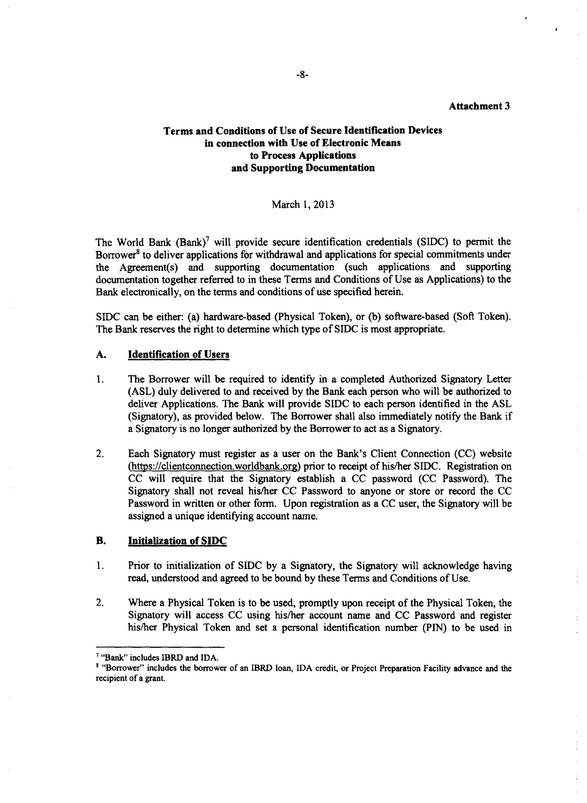# **Terms and Conditions of Use of Secure Identification Devices in connection with Use of Electronic Means to Process Applications and Supporting Documentation**

#### March **1, 2013**

The World Bank  $(Bank)^7$  will provide secure identification credentials (SIDC) to permit the Borrower<sup>8</sup> to deliver applications for withdrawal and applications for special commitments under the Agreement(s) and supporting documentation (such applications and supporting documentation together referred to in these Terms and Conditions of Use as Applications) to the Bank electronically, on the terms and conditions of use specified herein.

SIDC can be either: (a) hardware-based (Physical Token), or **(b)** software-based (Soft Token). The Bank reserves the right to determine which type of **SIDC** is most appropriate.

#### **A. Identification of Users**

- **1.** The Borrower will be required to identify in a completed Authorized Signatory Letter **(ASL)** duly delivered to and received **by** the Bank each person who will be authorized to deliver Applications. The Bank will provide SIDC to each person identified in the **ASL** (Signatory), as provided below. The Borrower shall also immediately notify the Bank if a Signatory is no longer authorized **by** the Borrower to act as a Signatory.
- 2. Each Signatory must register as a user on the Bank's Client Connection **(CC)** website (https://clientconnection.worldbank.org) prior to receipt of his/her SIDC. Registration on **CC** will require that the Signatory establish a **CC** password **(CC** Password). The Signatory shall not reveal his/her **CC** Password to anyone or store or record the **CC** Password in written or other form. Upon registration as a **CC** user, the Signatory will be assigned a unique identifying account name.

#### B. Initialization **of SIDC**

- **1.** Prior to initialization of **SIDC by** a Signatory, the Signatory will acknowledge having read, understood and agreed to be bound **by** these Terms and Conditions of Use.
- 2. Where a Physical Token is to be used, promptly upon receipt of the Physical Token, the Signatory will access **CC** using his/her account name and **CC** Password and register his/her Physical Token and set a personal identification number **(PIN)** to be used in

<sup>&</sup>quot;Bank" includes IBRD and **IDA.**

<sup>&</sup>quot;Borrower" includes the borrower of an IBRD loan, **IDA** credit, or Project Preparation Facility advance and the recipient of a grant.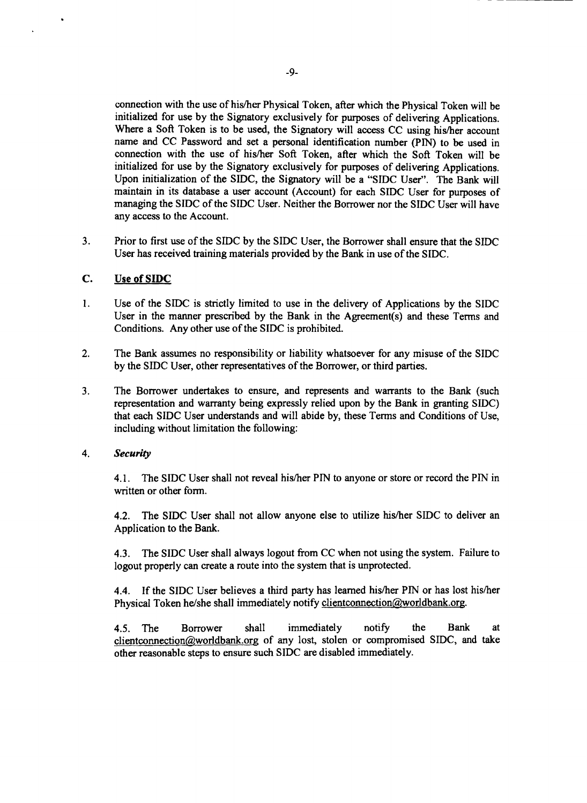connection with the use of his/her Physical Token, after which the Physical Token will be initialized for use by the Signatory exclusively for purposes of delivering Applications. **Vhere** a initialized for use by the Signatory exclusively for purposes of delivering Applications.<br>Where a Soft Token is to be used, the Signatory will access CC using his/her account<br>ame and CC Password and set a personal identifi maintain in its database a user account (Account) for each SIDC User for purposes of nanaging the SIDC of the SIDC User. Neither the Borrower nor the SIDC User will have ny access to the Account. initialized for use by the Signatory exclusively for purposes of delivering Applications.<br>Upon initialization of the SIDC, the Signatory will be a "SIDC User". The Bank will managing the SIDC of the SIDC User. Neither the Borrower nor the SIDC User will have

3. Prior to first use of the **SIDC by** the **SIDC** User, the Borrower shall ensure that the **SIDC** User has received training materials provided **by** the Bank in use of the **SIDC.**

## **C. Use of SIDC**

- 1. Use of the SIDC is strictly limited to use in the delivery of Applications by the SIDC User in the manner prescribed by the Bank in the Agreement(s) and these Terms and Conditions. Any other use of the SIDC is prohibite
- 2. The Bank assumes no responsibility or liability whatsoever for any misuse of the **SIDC by** the **SIDC** User, other representatives of the Borrower, or third parties.
- 3. The Borrower undertakes to ensure, and represents and warrants to the Bank (such representation and warranty being expressly relied upon by the Bank in granting SIDC) that each SIDC User understands and will abide by, t

## *4. Security*

**4.1.** The SIDC User shall not reveal his/her **PIN** to anyone or store or record the **PIN** in written or other form.

4.2. The **SIDC** User shall not allow anyone else to utilize his/her **SIDC** to deliver an Application to the Bank.

4.3. The **SIDC** User shall always logout from **CC** when not using the system. Failure to logout properly can create a route into the system that is unprotected.

**4.4. If** the **SIDC** User believes a third party has learned his/her **PIN** or has lost his/her Physical Token he/she shall immediately notify clientconnection@-worldbank.org.

*4.5.* The Borrower shall immediately notify the Bank at clientconnection(aworldbank.org of any lost, stolen or compromised SIDC, and take other reasonable steps to ensure such **SIDC** are disabled immediately.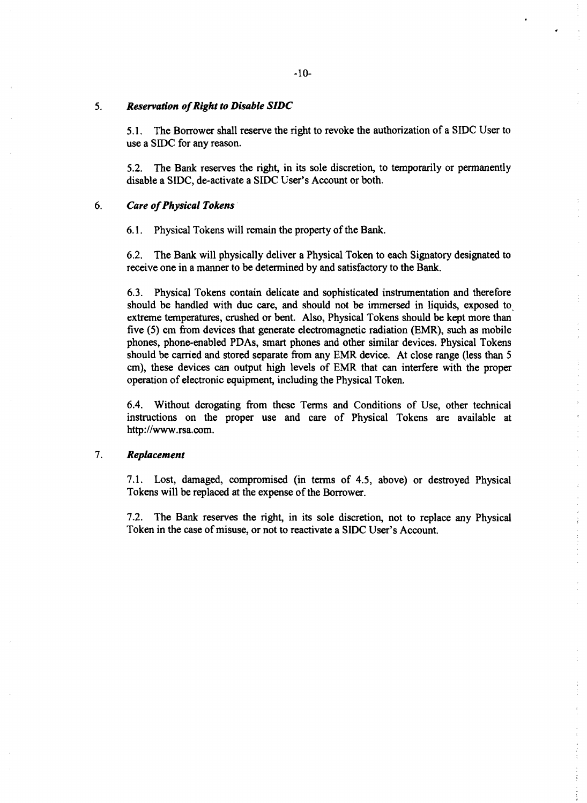#### *5. Reservation of Right to Disable SIDC*

**5.1.** The Borrower shall reserve the right to revoke the authorization of a **SIDC** User to use a **SIDC** for any reason.

**5.2.** The Bank reserves the right, in its sole discretion, to temporarily or permanently disable a **SIDC,** de-activate a **SIDC** User's Account or both.

#### *6. Care of Physical Tokens*

**6.1.** Physical Tokens will remain the property of the Bank.

**6.2.** The Bank will physically deliver a Physical Token to each Signatory designated to receive one in a manner to be determined **by** and satisfactory to the Bank.

**6.3.** Physical Tokens contain delicate and sophisticated instrumentation and therefore should be handled with due care, and should not be immersed in liquids, exposed to, extreme temperatures, crushed or bent. Also, Physical Tokens should be kept more than five *(5)* cm from devices that generate electromagnetic radiation (EMR), such as mobile phones, phone-enabled PDAs, smart phones and other similar devices. Physical Tokens should be carried and stored separate from any EMR device. At close range (less than **<sup>5</sup>** cm), these devices can output high levels of EMR that can interfere with the proper operation of electronic equipment, including the Physical Token.

6.4. Without derogating from these Terms and Conditions of Use, other technical instructions on the proper use and care of Physical Tokens are available at http://www.rsa.com.

ţ  $\bar{\rm s}$ 

 $\frac{1}{3}$ 

 $\frac{1}{2}$ 

# **7.** *Replacement*

**7.1.** Lost, damaged, compromised (in terms of 4.5, above) or destroyed Physical Tokens will be replaced at the expense of the Borrower.

**7.2.** The Bank reserves the right, in its sole discretion, not to replace any Physical Token in the case of misuse, or not to reactivate a SIDC User's Account.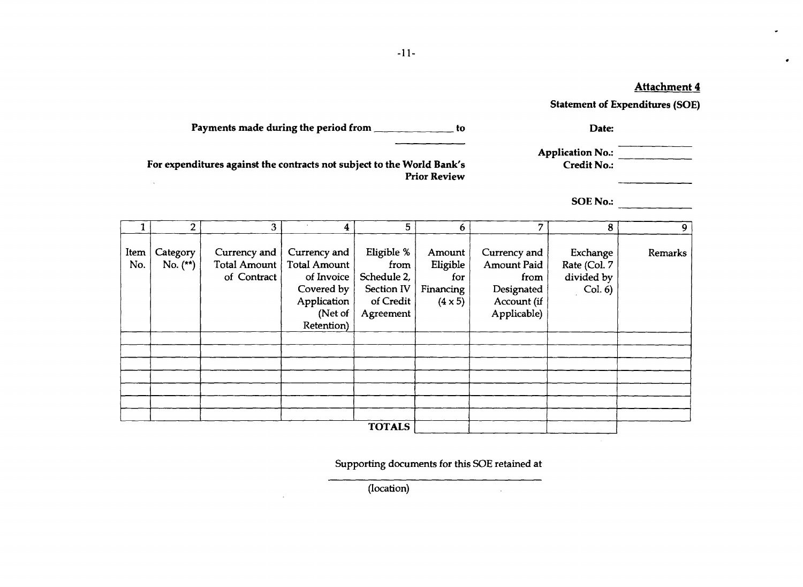$\bullet$ 

Statement of Expenditures **(SOE)**

| Payments made during the period from | Date: |
|--------------------------------------|-------|
|                                      |       |

| <b>Application No.:</b> |  |
|-------------------------|--|
| $C$ redit No.           |  |

For expenditures against the contracts not subject to the World Bank's Credit No.: Prior Review  $\mathcal{A}$ 

**SOE** No.:

 $\mathcal{L}$ 

|               | $\overline{2}$ | 3 <sup>7</sup> | 4                   | 5           | 6              | 7                  | 8            | 9       |
|---------------|----------------|----------------|---------------------|-------------|----------------|--------------------|--------------|---------|
|               |                |                |                     |             |                |                    |              |         |
| Item          | Category       | Currency and   | Currency and        | Eligible %  | Amount         | Currency and       | Exchange     | Remarks |
| No.           | No. $(**)$     | Total Amount   | <b>Total Amount</b> | from        | Eligible       | <b>Amount Paid</b> | Rate (Col. 7 |         |
|               |                | of Contract    | of Invoice          | Schedule 2, | for            | from               | divided by   |         |
|               |                |                | Covered by          | Section IV  | Financing      | Designated         | Col. 6)      |         |
|               |                |                | Application         | of Credit   | $(4 \times 5)$ | Account (if        |              |         |
|               |                |                | (Net of             | Agreement   |                | Applicable)        |              |         |
|               |                |                | Retention)          |             |                |                    |              |         |
|               |                |                |                     |             |                |                    |              |         |
|               |                |                |                     |             |                |                    |              |         |
|               |                |                |                     |             |                |                    |              |         |
|               |                |                |                     |             |                |                    |              |         |
|               |                |                |                     |             |                |                    |              |         |
|               |                |                |                     |             |                |                    |              |         |
|               |                |                |                     |             |                |                    |              |         |
| <b>TOTALS</b> |                |                |                     |             |                |                    |              |         |

Supporting documents for this **SOE** retained at

**Contract Contract State** 

(location)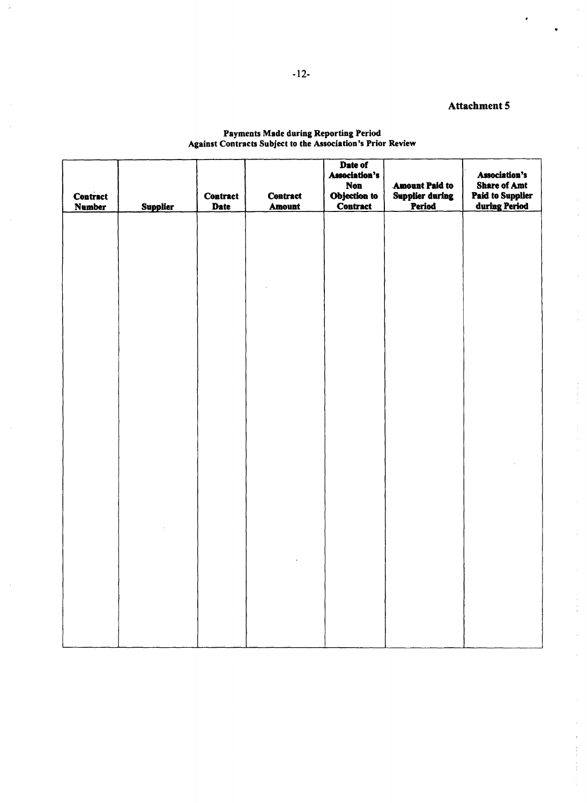$\frac{1}{2} \frac{1}{2} \frac{1}{2} \frac{1}{2} \frac{1}{2} \frac{1}{2} \frac{1}{2} \frac{1}{2} \frac{1}{2} \frac{1}{2} \frac{1}{2} \frac{1}{2} \frac{1}{2} \frac{1}{2} \frac{1}{2} \frac{1}{2} \frac{1}{2} \frac{1}{2} \frac{1}{2} \frac{1}{2} \frac{1}{2} \frac{1}{2} \frac{1}{2} \frac{1}{2} \frac{1}{2} \frac{1}{2} \frac{1}{2} \frac{1}{2} \frac{1}{2} \frac{1}{2} \frac{1}{2} \frac{$ 

 $\frac{1}{2}$  $\frac{1}{2}$ 

| <b>Contract</b><br><b>Number</b> | <b>Supplier</b> | <b>Contract</b><br>Date | <b>Contract</b><br>Amount | Date of<br><b>Association's</b><br><b>Non</b><br>Objection to<br><b>Contract</b> | <b>Amount Paid to</b><br><b>Supplier during</b><br>Period | Association's<br><b>Share of Amt</b><br><b>Paid to Supplier</b><br>during Period |
|----------------------------------|-----------------|-------------------------|---------------------------|----------------------------------------------------------------------------------|-----------------------------------------------------------|----------------------------------------------------------------------------------|
|                                  |                 |                         |                           |                                                                                  |                                                           |                                                                                  |
|                                  |                 |                         |                           |                                                                                  |                                                           |                                                                                  |
|                                  |                 |                         |                           |                                                                                  |                                                           |                                                                                  |
|                                  |                 |                         |                           |                                                                                  |                                                           |                                                                                  |
|                                  |                 |                         |                           |                                                                                  |                                                           |                                                                                  |
|                                  |                 |                         |                           |                                                                                  |                                                           |                                                                                  |
|                                  |                 |                         |                           |                                                                                  |                                                           |                                                                                  |
|                                  |                 |                         |                           |                                                                                  |                                                           |                                                                                  |

#### Payments Made during Reporting Perio Against Contracts Subject to the Association's Prior Review